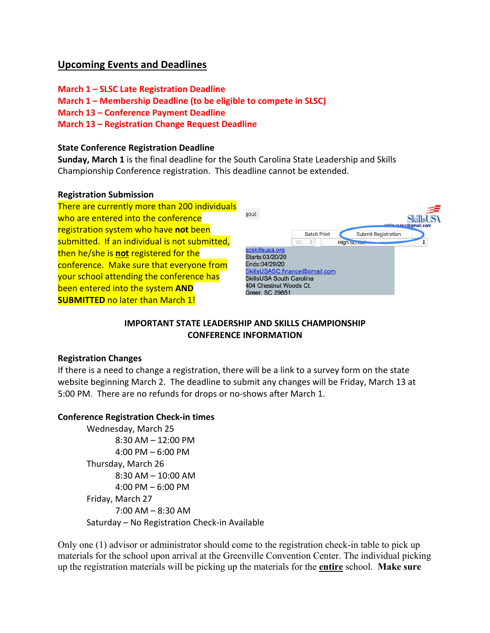# **Upcoming Events and Deadlines**

**March 1 – SLSC Late Registration Deadline March 1 – Membership Deadline (to be eligible to compete in SLSC) March 13 – Conference Payment Deadline March 13 – Registration Change Request Deadline**

#### **State Conference Registration Deadline**

**Sunday, March 1** is the final deadline for the South Carolina State Leadership and Skills Championship Conference registration. This deadline cannot be extended.

#### **Registration Submission**



### **IMPORTANT STATE LEADERSHIP AND SKILLS CHAMPIONSHIP CONFERENCE INFORMATION**

#### **Registration Changes**

If there is a need to change a registration, there will be a link to a survey form on the state website beginning March 2. The deadline to submit any changes will be Friday, March 13 at 5:00 PM. There are no refunds for drops or no-shows after March 1.

#### **Conference Registration Check-in times**

Wednesday, March 25 8:30 AM – 12:00 PM 4:00 PM – 6:00 PM Thursday, March 26 8:30 AM – 10:00 AM 4:00 PM – 6:00 PM Friday, March 27 7:00 AM – 8:30 AM Saturday – No Registration Check-in Available

Only one (1) advisor or administrator should come to the registration check-in table to pick up materials for the school upon arrival at the Greenville Convention Center. The individual picking up the registration materials will be picking up the materials for the **entire** school. **Make sure**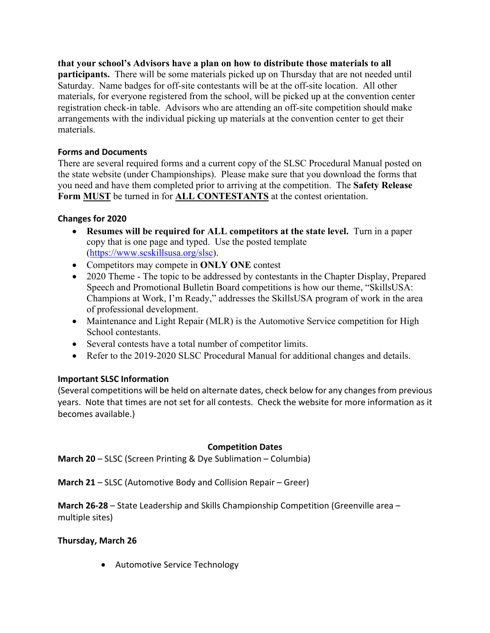**that your school's Advisors have a plan on how to distribute those materials to all participants.** There will be some materials picked up on Thursday that are not needed until Saturday. Name badges for off-site contestants will be at the off-site location. All other materials, for everyone registered from the school, will be picked up at the convention center registration check-in table. Advisors who are attending an off-site competition should make arrangements with the individual picking up materials at the convention center to get their materials.

## **Forms and Documents**

There are several required forms and a current copy of the SLSC Procedural Manual posted on the state website (under Championships). Please make sure that you download the forms that you need and have them completed prior to arriving at the competition. The **Safety Release Form MUST** be turned in for **ALL CONTESTANTS** at the contest orientation.

### **Changes for 2020**

- **Resumes will be required for ALL competitors at the state level.** Turn in a paper copy that is one page and typed. Use the posted template (https://www.scskillsusa.org/slsc).
- Competitors may compete in **ONLY ONE** contest
- 2020 Theme The topic to be addressed by contestants in the Chapter Display, Prepared Speech and Promotional Bulletin Board competitions is how our theme, "SkillsUSA: Champions at Work, I'm Ready," addresses the SkillsUSA program of work in the area of professional development.
- Maintenance and Light Repair (MLR) is the Automotive Service competition for High School contestants.
- Several contests have a total number of competitor limits.
- Refer to the 2019-2020 SLSC Procedural Manual for additional changes and details.

## **Important SLSC Information**

(Several competitions will be held on alternate dates, check below for any changes from previous years. Note that times are not set for all contests. Check the website for more information as it becomes available.)

### **Competition Dates**

**March 20** – SLSC (Screen Printing & Dye Sublimation – Columbia)

**March 21** – SLSC (Automotive Body and Collision Repair – Greer)

**March 26-28** – State Leadership and Skills Championship Competition (Greenville area – multiple sites)

### **Thursday, March 26**

• Automotive Service Technology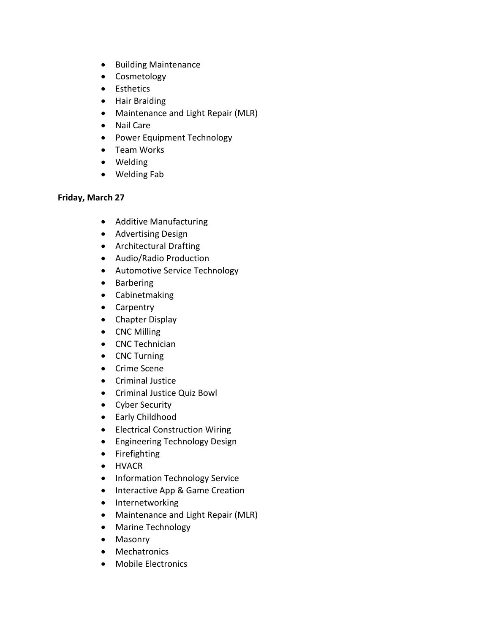- Building Maintenance
- Cosmetology
- Esthetics
- Hair Braiding
- Maintenance and Light Repair (MLR)
- Nail Care
- Power Equipment Technology
- Team Works
- Welding
- Welding Fab

## **Friday, March 27**

- Additive Manufacturing
- Advertising Design
- Architectural Drafting
- Audio/Radio Production
- Automotive Service Technology
- Barbering
- Cabinetmaking
- Carpentry
- Chapter Display
- CNC Milling
- CNC Technician
- CNC Turning
- Crime Scene
- Criminal Justice
- Criminal Justice Quiz Bowl
- Cyber Security
- Early Childhood
- Electrical Construction Wiring
- Engineering Technology Design
- Firefighting
- HVACR
- Information Technology Service
- Interactive App & Game Creation
- Internetworking
- Maintenance and Light Repair (MLR)
- Marine Technology
- Masonry
- Mechatronics
- Mobile Electronics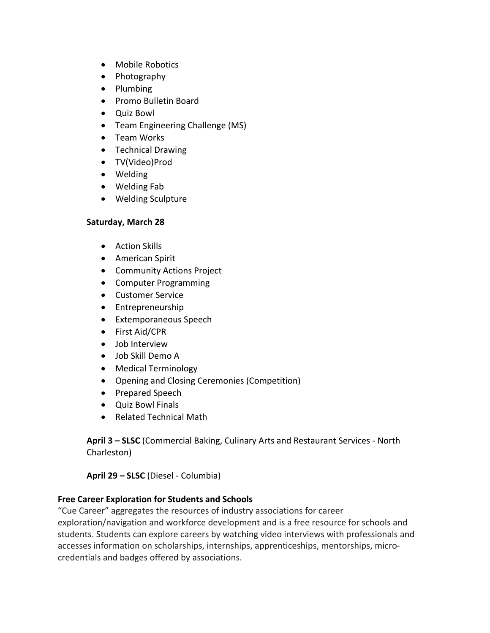- Mobile Robotics
- Photography
- Plumbing
- Promo Bulletin Board
- Quiz Bowl
- Team Engineering Challenge (MS)
- Team Works
- Technical Drawing
- TV(Video)Prod
- Welding
- Welding Fab
- Welding Sculpture

## **Saturday, March 28**

- Action Skills
- American Spirit
- Community Actions Project
- Computer Programming
- Customer Service
- Entrepreneurship
- Extemporaneous Speech
- First Aid/CPR
- Job Interview
- Job Skill Demo A
- Medical Terminology
- Opening and Closing Ceremonies (Competition)
- Prepared Speech
- Quiz Bowl Finals
- Related Technical Math

**April 3 – SLSC** (Commercial Baking, Culinary Arts and Restaurant Services - North Charleston)

**April 29 – SLSC** (Diesel - Columbia)

## **Free Career Exploration for Students and Schools**

"Cue Career" aggregates the resources of industry associations for career exploration/navigation and workforce development and is a free resource for schools and students. Students can explore careers by watching video interviews with professionals and accesses information on scholarships, internships, apprenticeships, mentorships, microcredentials and badges offered by associations.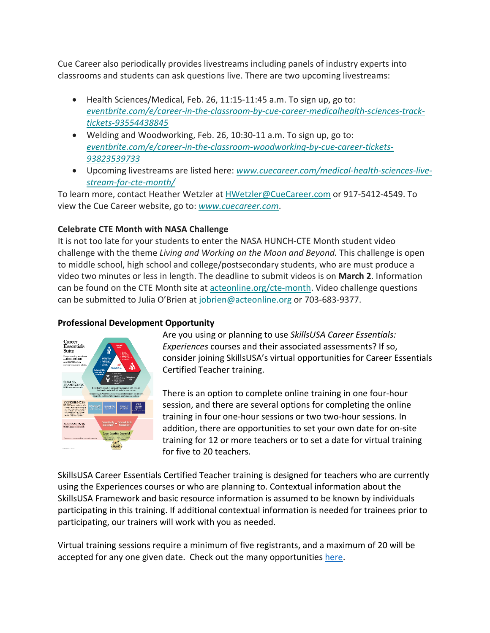Cue Career also periodically provides livestreams including panels of industry experts into classrooms and students can ask questions live. There are two upcoming livestreams:

- Health Sciences/Medical, Feb. 26, 11:15-11:45 a.m. To sign up, go to: *eventbrite.com/e/career-in-the-classroom-by-cue-career-medicalhealth-sciences-tracktickets-93554438845*
- Welding and Woodworking, Feb. 26, 10:30-11 a.m. To sign up, go to: *eventbrite.com/e/career-in-the-classroom-woodworking-by-cue-career-tickets-93823539733*
- Upcoming livestreams are listed here: *www.cuecareer.com/medical-health-sciences-livestream-for-cte-month/*

To learn more, contact Heather Wetzler at HWetzler@CueCareer.com or 917-5412-4549. To view the Cue Career website, go to: *www.cuecareer.com*.

# **Celebrate CTE Month with NASA Challenge**

It is not too late for your students to enter the NASA HUNCH-CTE Month student video challenge with the theme *Living and Working on the Moon and Beyond.* This challenge is open to middle school, high school and college/postsecondary students, who are must produce a video two minutes or less in length. The deadline to submit videos is on **March 2**. Information can be found on the CTE Month site at acteonline.org/cte-month. Video challenge questions can be submitted to Julia O'Brien at jobrien@acteonline.org or 703-683-9377.

## **Professional Development Opportunity**



Are you using or planning to use *SkillsUSA Career Essentials: Experiences* courses and their associated assessments? If so, consider joining SkillsUSA's virtual opportunities for Career Essentials Certified Teacher training.

There is an option to complete online training in one four-hour session, and there are several options for completing the online training in four one-hour sessions or two two-hour sessions. In addition, there are opportunities to set your own date for on-site training for 12 or more teachers or to set a date for virtual training for five to 20 teachers.

SkillsUSA Career Essentials Certified Teacher training is designed for teachers who are currently using the Experiences courses or who are planning to. Contextual information about the SkillsUSA Framework and basic resource information is assumed to be known by individuals participating in this training. If additional contextual information is needed for trainees prior to participating, our trainers will work with you as needed.

Virtual training sessions require a minimum of five registrants, and a maximum of 20 will be accepted for any one given date. Check out the many opportunities here.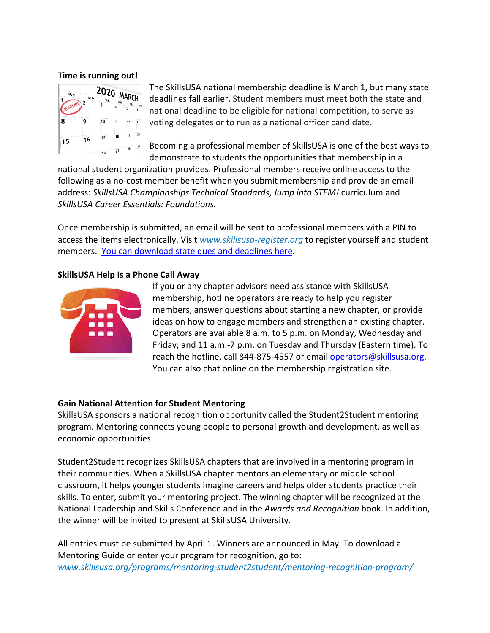#### **Time is running out!**



The SkillsUSA national membership deadline is March 1, but many state deadlines fall earlier. Student members must meet both the state and national deadline to be eligible for national competition, to serve as voting delegates or to run as a national officer candidate.

Becoming a professional member of SkillsUSA is one of the best ways to demonstrate to students the opportunities that membership in a

national student organization provides. Professional members receive online access to the following as a no-cost member benefit when you submit membership and provide an email address: *SkillsUSA Championships Technical Standards*, *Jump into STEM!* curriculum and *SkillsUSA Career Essentials: Foundations.* 

Once membership is submitted, an email will be sent to professional members with a PIN to access the items electronically. Visit *www.skillsusa-register.org* to register yourself and student members. You can download state dues and deadlines here.

### **SkillsUSA Help Is a Phone Call Away**



If you or any chapter advisors need assistance with SkillsUSA membership, hotline operators are ready to help you register members, answer questions about starting a new chapter, or provide ideas on how to engage members and strengthen an existing chapter. Operators are available 8 a.m. to 5 p.m. on Monday, Wednesday and Friday; and 11 a.m.-7 p.m. on Tuesday and Thursday (Eastern time). To reach the hotline, call 844-875-4557 or email operators@skillsusa.org. You can also chat online on the membership registration site.

### **Gain National Attention for Student Mentoring**

SkillsUSA sponsors a national recognition opportunity called the Student2Student mentoring program. Mentoring connects young people to personal growth and development, as well as economic opportunities.

Student2Student recognizes SkillsUSA chapters that are involved in a mentoring program in their communities. When a SkillsUSA chapter mentors an elementary or middle school classroom, it helps younger students imagine careers and helps older students practice their skills. To enter, submit your mentoring project. The winning chapter will be recognized at the National Leadership and Skills Conference and in the *Awards and Recognition* book. In addition, the winner will be invited to present at SkillsUSA University.

All entries must be submitted by April 1. Winners are announced in May. To download a Mentoring Guide or enter your program for recognition, go to: *www.skillsusa.org/programs/mentoring-student2student/mentoring-recognition-program/*